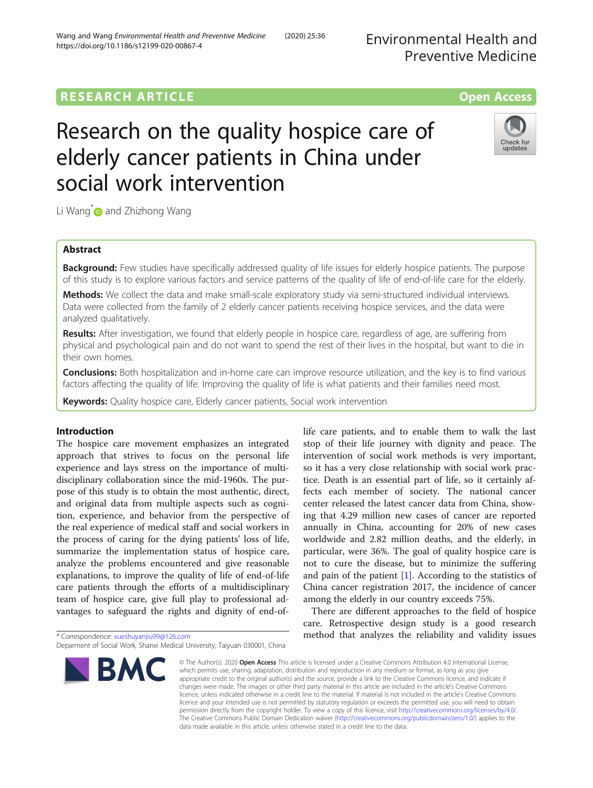Environmental Health and Preventive Medicine

# **RESEARCH ARTICLE Example 2014 12:30 The Contract of Contract ACCESS**

# Research on the quality hospice care of elderly cancer patients in China under social work intervention



Li Wang<sup>[\\*](http://orcid.org/0000-0003-1540-7826)</sup> and Zhizhong Wang

# Abstract

**Background:** Few studies have specifically addressed quality of life issues for elderly hospice patients. The purpose of this study is to explore various factors and service patterns of the quality of life of end-of-life care for the elderly.

Methods: We collect the data and make small-scale exploratory study via semi-structured individual interviews. Data were collected from the family of 2 elderly cancer patients receiving hospice services, and the data were analyzed qualitatively.

Results: After investigation, we found that elderly people in hospice care, regardless of age, are suffering from physical and psychological pain and do not want to spend the rest of their lives in the hospital, but want to die in their own homes.

**Conclusions:** Both hospitalization and in-home care can improve resource utilization, and the key is to find various factors affecting the quality of life. Improving the quality of life is what patients and their families need most.

Keywords: Quality hospice care, Elderly cancer patients, Social work intervention

# Introduction

The hospice care movement emphasizes an integrated approach that strives to focus on the personal life experience and lays stress on the importance of multidisciplinary collaboration since the mid-1960s. The purpose of this study is to obtain the most authentic, direct, and original data from multiple aspects such as cognition, experience, and behavior from the perspective of the real experience of medical staff and social workers in the process of caring for the dying patients' loss of life, summarize the implementation status of hospice care, analyze the problems encountered and give reasonable explanations, to improve the quality of life of end-of-life care patients through the efforts of a multidisciplinary team of hospice care, give full play to professional advantages to safeguard the rights and dignity of end-of-

\* Correspondence: [xueshuyanjiu99@126.com](mailto:xueshuyanjiu99@126.com)

Deparment of Social Work, Shanxi Medical University, Taiyuan 030001, China



life care patients, and to enable them to walk the last stop of their life journey with dignity and peace. The intervention of social work methods is very important, so it has a very close relationship with social work practice. Death is an essential part of life, so it certainly affects each member of society. The national cancer center released the latest cancer data from China, showing that 4.29 million new cases of cancer are reported annually in China, accounting for 20% of new cases worldwide and 2.82 million deaths, and the elderly, in particular, were 36%. The goal of quality hospice care is not to cure the disease, but to minimize the suffering and pain of the patient [[1\]](#page-8-0). According to the statistics of China cancer registration 2017, the incidence of cancer among the elderly in our country exceeds 75%.

There are different approaches to the field of hospice care. Retrospective design study is a good research method that analyzes the reliability and validity issues

© The Author(s), 2020 **Open Access** This article is licensed under a Creative Commons Attribution 4.0 International License, which permits use, sharing, adaptation, distribution and reproduction in any medium or format, as long as you give appropriate credit to the original author(s) and the source, provide a link to the Creative Commons licence, and indicate if changes were made. The images or other third party material in this article are included in the article's Creative Commons licence, unless indicated otherwise in a credit line to the material. If material is not included in the article's Creative Commons licence and your intended use is not permitted by statutory regulation or exceeds the permitted use, you will need to obtain permission directly from the copyright holder. To view a copy of this licence, visit [http://creativecommons.org/licenses/by/4.0/.](http://creativecommons.org/licenses/by/4.0/) The Creative Commons Public Domain Dedication waiver [\(http://creativecommons.org/publicdomain/zero/1.0/](http://creativecommons.org/publicdomain/zero/1.0/)) applies to the data made available in this article, unless otherwise stated in a credit line to the data.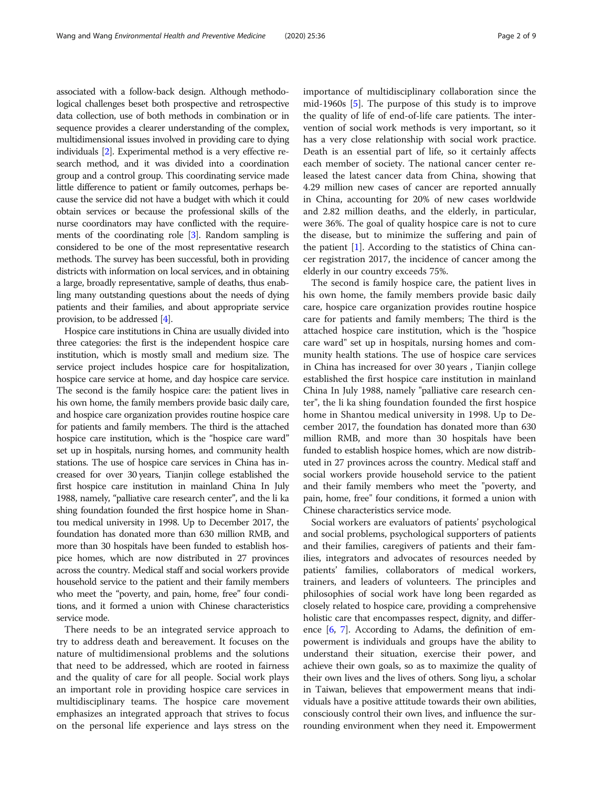associated with a follow-back design. Although methodological challenges beset both prospective and retrospective data collection, use of both methods in combination or in sequence provides a clearer understanding of the complex, multidimensional issues involved in providing care to dying individuals [\[2\]](#page-8-0). Experimental method is a very effective research method, and it was divided into a coordination group and a control group. This coordinating service made little difference to patient or family outcomes, perhaps because the service did not have a budget with which it could obtain services or because the professional skills of the nurse coordinators may have conflicted with the requirements of the coordinating role [\[3\]](#page-8-0). Random sampling is considered to be one of the most representative research methods. The survey has been successful, both in providing districts with information on local services, and in obtaining a large, broadly representative, sample of deaths, thus enabling many outstanding questions about the needs of dying patients and their families, and about appropriate service provision, to be addressed [\[4\]](#page-8-0).

Hospice care institutions in China are usually divided into three categories: the first is the independent hospice care institution, which is mostly small and medium size. The service project includes hospice care for hospitalization, hospice care service at home, and day hospice care service. The second is the family hospice care: the patient lives in his own home, the family members provide basic daily care, and hospice care organization provides routine hospice care for patients and family members. The third is the attached hospice care institution, which is the "hospice care ward" set up in hospitals, nursing homes, and community health stations. The use of hospice care services in China has increased for over 30 years, Tianjin college established the first hospice care institution in mainland China In July 1988, namely, "palliative care research center", and the li ka shing foundation founded the first hospice home in Shantou medical university in 1998. Up to December 2017, the foundation has donated more than 630 million RMB, and more than 30 hospitals have been funded to establish hospice homes, which are now distributed in 27 provinces across the country. Medical staff and social workers provide household service to the patient and their family members who meet the "poverty, and pain, home, free" four conditions, and it formed a union with Chinese characteristics service mode.

There needs to be an integrated service approach to try to address death and bereavement. It focuses on the nature of multidimensional problems and the solutions that need to be addressed, which are rooted in fairness and the quality of care for all people. Social work plays an important role in providing hospice care services in multidisciplinary teams. The hospice care movement emphasizes an integrated approach that strives to focus on the personal life experience and lays stress on the importance of multidisciplinary collaboration since the mid-1960s [[5\]](#page-8-0). The purpose of this study is to improve the quality of life of end-of-life care patients. The intervention of social work methods is very important, so it has a very close relationship with social work practice. Death is an essential part of life, so it certainly affects each member of society. The national cancer center released the latest cancer data from China, showing that 4.29 million new cases of cancer are reported annually in China, accounting for 20% of new cases worldwide and 2.82 million deaths, and the elderly, in particular, were 36%. The goal of quality hospice care is not to cure the disease, but to minimize the suffering and pain of the patient  $[1]$  $[1]$ . According to the statistics of China cancer registration 2017, the incidence of cancer among the elderly in our country exceeds 75%.

The second is family hospice care, the patient lives in his own home, the family members provide basic daily care, hospice care organization provides routine hospice care for patients and family members; The third is the attached hospice care institution, which is the "hospice care ward" set up in hospitals, nursing homes and community health stations. The use of hospice care services in China has increased for over 30 years , Tianjin college established the first hospice care institution in mainland China In July 1988, namely "palliative care research center", the li ka shing foundation founded the first hospice home in Shantou medical university in 1998. Up to December 2017, the foundation has donated more than 630 million RMB, and more than 30 hospitals have been funded to establish hospice homes, which are now distributed in 27 provinces across the country. Medical staff and social workers provide household service to the patient and their family members who meet the "poverty, and pain, home, free" four conditions, it formed a union with Chinese characteristics service mode.

Social workers are evaluators of patients' psychological and social problems, psychological supporters of patients and their families, caregivers of patients and their families, integrators and advocates of resources needed by patients' families, collaborators of medical workers, trainers, and leaders of volunteers. The principles and philosophies of social work have long been regarded as closely related to hospice care, providing a comprehensive holistic care that encompasses respect, dignity, and difference [[6](#page-8-0), [7\]](#page-8-0). According to Adams, the definition of empowerment is individuals and groups have the ability to understand their situation, exercise their power, and achieve their own goals, so as to maximize the quality of their own lives and the lives of others. Song liyu, a scholar in Taiwan, believes that empowerment means that individuals have a positive attitude towards their own abilities, consciously control their own lives, and influence the surrounding environment when they need it. Empowerment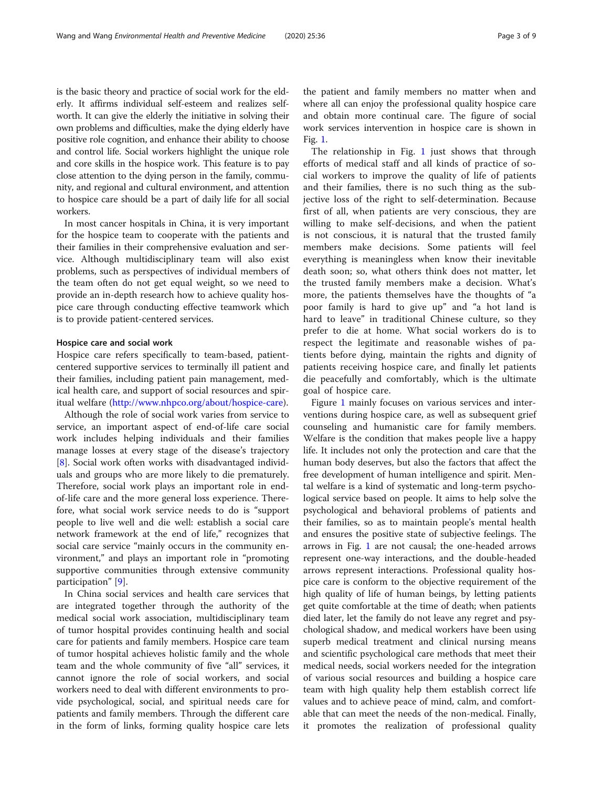is the basic theory and practice of social work for the elderly. It affirms individual self-esteem and realizes selfworth. It can give the elderly the initiative in solving their own problems and difficulties, make the dying elderly have positive role cognition, and enhance their ability to choose and control life. Social workers highlight the unique role and core skills in the hospice work. This feature is to pay close attention to the dying person in the family, community, and regional and cultural environment, and attention to hospice care should be a part of daily life for all social workers.

In most cancer hospitals in China, it is very important for the hospice team to cooperate with the patients and their families in their comprehensive evaluation and service. Although multidisciplinary team will also exist problems, such as perspectives of individual members of the team often do not get equal weight, so we need to provide an in-depth research how to achieve quality hospice care through conducting effective teamwork which is to provide patient-centered services.

# Hospice care and social work

Hospice care refers specifically to team-based, patientcentered supportive services to terminally ill patient and their families, including patient pain management, medical health care, and support of social resources and spiritual welfare (<http://www.nhpco.org/about/hospice-care>).

Although the role of social work varies from service to service, an important aspect of end-of-life care social work includes helping individuals and their families manage losses at every stage of the disease's trajectory [[8\]](#page-8-0). Social work often works with disadvantaged individuals and groups who are more likely to die prematurely. Therefore, social work plays an important role in endof-life care and the more general loss experience. Therefore, what social work service needs to do is "support people to live well and die well: establish a social care network framework at the end of life," recognizes that social care service "mainly occurs in the community environment," and plays an important role in "promoting supportive communities through extensive community participation" [\[9](#page-8-0)].

In China social services and health care services that are integrated together through the authority of the medical social work association, multidisciplinary team of tumor hospital provides continuing health and social care for patients and family members. Hospice care team of tumor hospital achieves holistic family and the whole team and the whole community of five "all" services, it cannot ignore the role of social workers, and social workers need to deal with different environments to provide psychological, social, and spiritual needs care for patients and family members. Through the different care in the form of links, forming quality hospice care lets

the patient and family members no matter when and where all can enjoy the professional quality hospice care and obtain more continual care. The figure of social work services intervention in hospice care is shown in Fig. [1](#page-3-0).

The relationship in Fig. [1](#page-3-0) just shows that through efforts of medical staff and all kinds of practice of social workers to improve the quality of life of patients and their families, there is no such thing as the subjective loss of the right to self-determination. Because first of all, when patients are very conscious, they are willing to make self-decisions, and when the patient is not conscious, it is natural that the trusted family members make decisions. Some patients will feel everything is meaningless when know their inevitable death soon; so, what others think does not matter, let the trusted family members make a decision. What's more, the patients themselves have the thoughts of "a poor family is hard to give up" and "a hot land is hard to leave" in traditional Chinese culture, so they prefer to die at home. What social workers do is to respect the legitimate and reasonable wishes of patients before dying, maintain the rights and dignity of patients receiving hospice care, and finally let patients die peacefully and comfortably, which is the ultimate goal of hospice care.

Figure [1](#page-3-0) mainly focuses on various services and interventions during hospice care, as well as subsequent grief counseling and humanistic care for family members. Welfare is the condition that makes people live a happy life. It includes not only the protection and care that the human body deserves, but also the factors that affect the free development of human intelligence and spirit. Mental welfare is a kind of systematic and long-term psychological service based on people. It aims to help solve the psychological and behavioral problems of patients and their families, so as to maintain people's mental health and ensures the positive state of subjective feelings. The arrows in Fig. [1](#page-3-0) are not causal; the one-headed arrows represent one-way interactions, and the double-headed arrows represent interactions. Professional quality hospice care is conform to the objective requirement of the high quality of life of human beings, by letting patients get quite comfortable at the time of death; when patients died later, let the family do not leave any regret and psychological shadow, and medical workers have been using superb medical treatment and clinical nursing means and scientific psychological care methods that meet their medical needs, social workers needed for the integration of various social resources and building a hospice care team with high quality help them establish correct life values and to achieve peace of mind, calm, and comfortable that can meet the needs of the non-medical. Finally, it promotes the realization of professional quality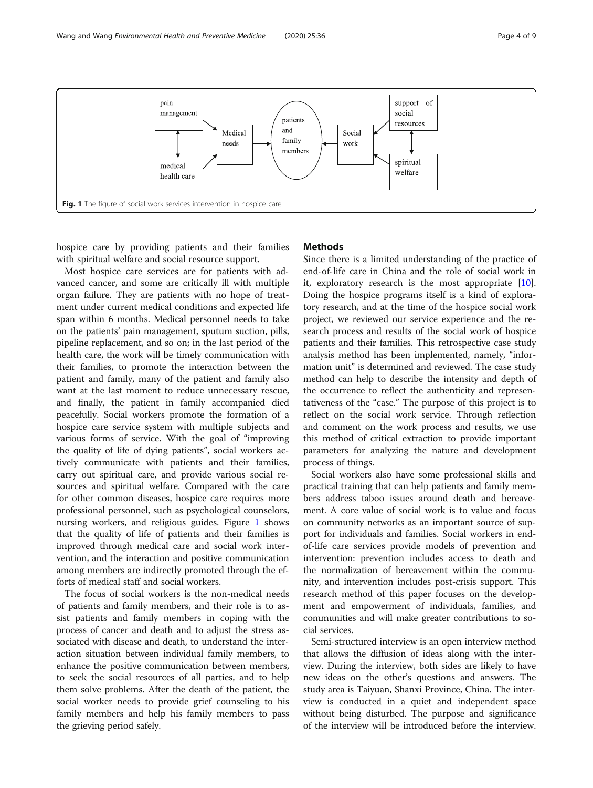<span id="page-3-0"></span>

hospice care by providing patients and their families with spiritual welfare and social resource support.

Most hospice care services are for patients with advanced cancer, and some are critically ill with multiple organ failure. They are patients with no hope of treatment under current medical conditions and expected life span within 6 months. Medical personnel needs to take on the patients' pain management, sputum suction, pills, pipeline replacement, and so on; in the last period of the health care, the work will be timely communication with their families, to promote the interaction between the patient and family, many of the patient and family also want at the last moment to reduce unnecessary rescue, and finally, the patient in family accompanied died peacefully. Social workers promote the formation of a hospice care service system with multiple subjects and various forms of service. With the goal of "improving the quality of life of dying patients", social workers actively communicate with patients and their families, carry out spiritual care, and provide various social resources and spiritual welfare. Compared with the care for other common diseases, hospice care requires more professional personnel, such as psychological counselors, nursing workers, and religious guides. Figure 1 shows that the quality of life of patients and their families is improved through medical care and social work intervention, and the interaction and positive communication among members are indirectly promoted through the efforts of medical staff and social workers.

The focus of social workers is the non-medical needs of patients and family members, and their role is to assist patients and family members in coping with the process of cancer and death and to adjust the stress associated with disease and death, to understand the interaction situation between individual family members, to enhance the positive communication between members, to seek the social resources of all parties, and to help them solve problems. After the death of the patient, the social worker needs to provide grief counseling to his family members and help his family members to pass the grieving period safely.

## **Methods**

Since there is a limited understanding of the practice of end-of-life care in China and the role of social work in it, exploratory research is the most appropriate [\[10](#page-8-0)]. Doing the hospice programs itself is a kind of exploratory research, and at the time of the hospice social work project, we reviewed our service experience and the research process and results of the social work of hospice patients and their families. This retrospective case study analysis method has been implemented, namely, "information unit" is determined and reviewed. The case study method can help to describe the intensity and depth of the occurrence to reflect the authenticity and representativeness of the "case." The purpose of this project is to reflect on the social work service. Through reflection and comment on the work process and results, we use this method of critical extraction to provide important parameters for analyzing the nature and development process of things.

Social workers also have some professional skills and practical training that can help patients and family members address taboo issues around death and bereavement. A core value of social work is to value and focus on community networks as an important source of support for individuals and families. Social workers in endof-life care services provide models of prevention and intervention: prevention includes access to death and the normalization of bereavement within the community, and intervention includes post-crisis support. This research method of this paper focuses on the development and empowerment of individuals, families, and communities and will make greater contributions to social services.

Semi-structured interview is an open interview method that allows the diffusion of ideas along with the interview. During the interview, both sides are likely to have new ideas on the other's questions and answers. The study area is Taiyuan, Shanxi Province, China. The interview is conducted in a quiet and independent space without being disturbed. The purpose and significance of the interview will be introduced before the interview.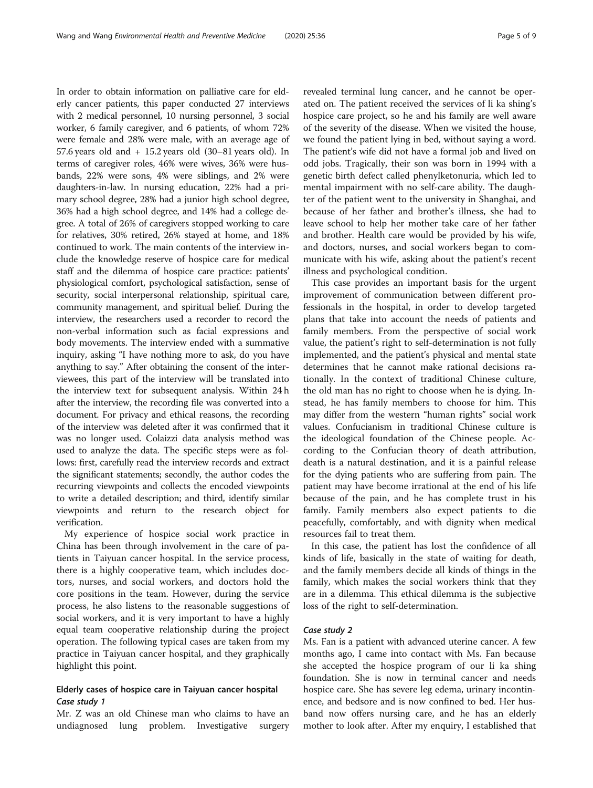In order to obtain information on palliative care for elderly cancer patients, this paper conducted 27 interviews with 2 medical personnel, 10 nursing personnel, 3 social worker, 6 family caregiver, and 6 patients, of whom 72% were female and 28% were male, with an average age of 57.6 years old and + 15.2 years old (30–81 years old). In terms of caregiver roles, 46% were wives, 36% were husbands, 22% were sons, 4% were siblings, and 2% were daughters-in-law. In nursing education, 22% had a primary school degree, 28% had a junior high school degree, 36% had a high school degree, and 14% had a college degree. A total of 26% of caregivers stopped working to care for relatives, 30% retired, 26% stayed at home, and 18% continued to work. The main contents of the interview include the knowledge reserve of hospice care for medical staff and the dilemma of hospice care practice: patients' physiological comfort, psychological satisfaction, sense of security, social interpersonal relationship, spiritual care, community management, and spiritual belief. During the interview, the researchers used a recorder to record the non-verbal information such as facial expressions and body movements. The interview ended with a summative inquiry, asking "I have nothing more to ask, do you have anything to say." After obtaining the consent of the interviewees, this part of the interview will be translated into the interview text for subsequent analysis. Within 24 h after the interview, the recording file was converted into a document. For privacy and ethical reasons, the recording of the interview was deleted after it was confirmed that it was no longer used. Colaizzi data analysis method was used to analyze the data. The specific steps were as follows: first, carefully read the interview records and extract the significant statements; secondly, the author codes the recurring viewpoints and collects the encoded viewpoints to write a detailed description; and third, identify similar viewpoints and return to the research object for verification.

My experience of hospice social work practice in China has been through involvement in the care of patients in Taiyuan cancer hospital. In the service process, there is a highly cooperative team, which includes doctors, nurses, and social workers, and doctors hold the core positions in the team. However, during the service process, he also listens to the reasonable suggestions of social workers, and it is very important to have a highly equal team cooperative relationship during the project operation. The following typical cases are taken from my practice in Taiyuan cancer hospital, and they graphically highlight this point.

# Elderly cases of hospice care in Taiyuan cancer hospital Case study 1

Mr. Z was an old Chinese man who claims to have an undiagnosed lung problem. Investigative surgery revealed terminal lung cancer, and he cannot be operated on. The patient received the services of li ka shing's hospice care project, so he and his family are well aware of the severity of the disease. When we visited the house, we found the patient lying in bed, without saying a word. The patient's wife did not have a formal job and lived on odd jobs. Tragically, their son was born in 1994 with a genetic birth defect called phenylketonuria, which led to mental impairment with no self-care ability. The daughter of the patient went to the university in Shanghai, and because of her father and brother's illness, she had to leave school to help her mother take care of her father and brother. Health care would be provided by his wife, and doctors, nurses, and social workers began to communicate with his wife, asking about the patient's recent illness and psychological condition.

This case provides an important basis for the urgent improvement of communication between different professionals in the hospital, in order to develop targeted plans that take into account the needs of patients and family members. From the perspective of social work value, the patient's right to self-determination is not fully implemented, and the patient's physical and mental state determines that he cannot make rational decisions rationally. In the context of traditional Chinese culture, the old man has no right to choose when he is dying. Instead, he has family members to choose for him. This may differ from the western "human rights" social work values. Confucianism in traditional Chinese culture is the ideological foundation of the Chinese people. According to the Confucian theory of death attribution, death is a natural destination, and it is a painful release for the dying patients who are suffering from pain. The patient may have become irrational at the end of his life because of the pain, and he has complete trust in his family. Family members also expect patients to die peacefully, comfortably, and with dignity when medical resources fail to treat them.

In this case, the patient has lost the confidence of all kinds of life, basically in the state of waiting for death, and the family members decide all kinds of things in the family, which makes the social workers think that they are in a dilemma. This ethical dilemma is the subjective loss of the right to self-determination.

# Case study 2

Ms. Fan is a patient with advanced uterine cancer. A few months ago, I came into contact with Ms. Fan because she accepted the hospice program of our li ka shing foundation. She is now in terminal cancer and needs hospice care. She has severe leg edema, urinary incontinence, and bedsore and is now confined to bed. Her husband now offers nursing care, and he has an elderly mother to look after. After my enquiry, I established that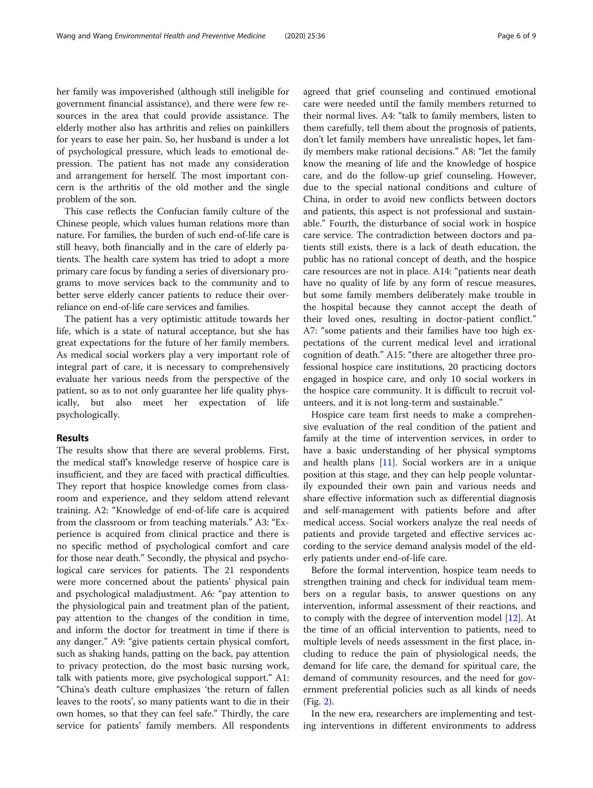her family was impoverished (although still ineligible for government financial assistance), and there were few resources in the area that could provide assistance. The elderly mother also has arthritis and relies on painkillers for years to ease her pain. So, her husband is under a lot of psychological pressure, which leads to emotional depression. The patient has not made any consideration and arrangement for herself. The most important concern is the arthritis of the old mother and the single problem of the son.

This case reflects the Confucian family culture of the Chinese people, which values human relations more than nature. For families, the burden of such end-of-life care is still heavy, both financially and in the care of elderly patients. The health care system has tried to adopt a more primary care focus by funding a series of diversionary programs to move services back to the community and to better serve elderly cancer patients to reduce their overreliance on end-of-life care services and families.

The patient has a very optimistic attitude towards her life, which is a state of natural acceptance, but she has great expectations for the future of her family members. As medical social workers play a very important role of integral part of care, it is necessary to comprehensively evaluate her various needs from the perspective of the patient, so as to not only guarantee her life quality physically, but also meet her expectation of life psychologically.

#### Results

The results show that there are several problems. First, the medical staff's knowledge reserve of hospice care is insufficient, and they are faced with practical difficulties. They report that hospice knowledge comes from classroom and experience, and they seldom attend relevant training. A2: "Knowledge of end-of-life care is acquired from the classroom or from teaching materials." A3: "Experience is acquired from clinical practice and there is no specific method of psychological comfort and care for those near death." Secondly, the physical and psychological care services for patients. The 21 respondents were more concerned about the patients' physical pain and psychological maladjustment. A6: "pay attention to the physiological pain and treatment plan of the patient, pay attention to the changes of the condition in time, and inform the doctor for treatment in time if there is any danger." A9: "give patients certain physical comfort, such as shaking hands, patting on the back, pay attention to privacy protection, do the most basic nursing work, talk with patients more, give psychological support." A1: "China's death culture emphasizes 'the return of fallen leaves to the roots', so many patients want to die in their own homes, so that they can feel safe." Thirdly, the care service for patients' family members. All respondents agreed that grief counseling and continued emotional care were needed until the family members returned to their normal lives. A4: "talk to family members, listen to them carefully, tell them about the prognosis of patients, don't let family members have unrealistic hopes, let family members make rational decisions." A8: "let the family know the meaning of life and the knowledge of hospice care, and do the follow-up grief counseling. However, due to the special national conditions and culture of China, in order to avoid new conflicts between doctors and patients, this aspect is not professional and sustainable." Fourth, the disturbance of social work in hospice care service. The contradiction between doctors and patients still exists, there is a lack of death education, the public has no rational concept of death, and the hospice care resources are not in place. A14: "patients near death have no quality of life by any form of rescue measures, but some family members deliberately make trouble in the hospital because they cannot accept the death of their loved ones, resulting in doctor-patient conflict." A7: "some patients and their families have too high expectations of the current medical level and irrational cognition of death." A15: "there are altogether three professional hospice care institutions, 20 practicing doctors engaged in hospice care, and only 10 social workers in the hospice care community. It is difficult to recruit volunteers, and it is not long-term and sustainable."

Hospice care team first needs to make a comprehensive evaluation of the real condition of the patient and family at the time of intervention services, in order to have a basic understanding of her physical symptoms and health plans [\[11](#page-8-0)]. Social workers are in a unique position at this stage, and they can help people voluntarily expounded their own pain and various needs and share effective information such as differential diagnosis and self-management with patients before and after medical access. Social workers analyze the real needs of patients and provide targeted and effective services according to the service demand analysis model of the elderly patients under end-of-life care.

Before the formal intervention, hospice team needs to strengthen training and check for individual team members on a regular basis, to answer questions on any intervention, informal assessment of their reactions, and to comply with the degree of intervention model [\[12](#page-8-0)]. At the time of an official intervention to patients, need to multiple levels of needs assessment in the first place, including to reduce the pain of physiological needs, the demand for life care, the demand for spiritual care, the demand of community resources, and the need for government preferential policies such as all kinds of needs (Fig. [2](#page-6-0)).

In the new era, researchers are implementing and testing interventions in different environments to address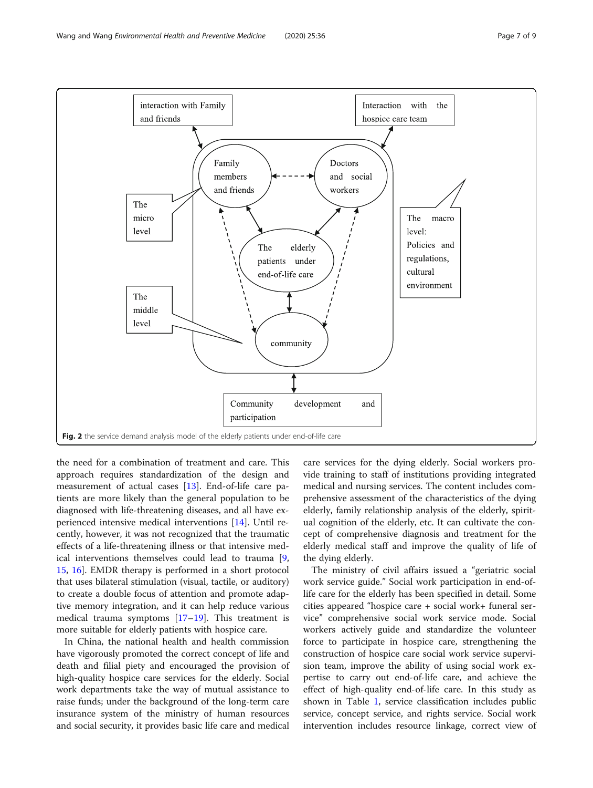<span id="page-6-0"></span>

the need for a combination of treatment and care. This approach requires standardization of the design and measurement of actual cases [\[13](#page-8-0)]. End-of-life care patients are more likely than the general population to be diagnosed with life-threatening diseases, and all have experienced intensive medical interventions [[14](#page-8-0)]. Until recently, however, it was not recognized that the traumatic effects of a life-threatening illness or that intensive medical interventions themselves could lead to trauma [\[9](#page-8-0), [15,](#page-8-0) [16\]](#page-8-0). EMDR therapy is performed in a short protocol that uses bilateral stimulation (visual, tactile, or auditory) to create a double focus of attention and promote adaptive memory integration, and it can help reduce various medical trauma symptoms [[17](#page-8-0)–[19](#page-8-0)]. This treatment is more suitable for elderly patients with hospice care.

In China, the national health and health commission have vigorously promoted the correct concept of life and death and filial piety and encouraged the provision of high-quality hospice care services for the elderly. Social work departments take the way of mutual assistance to raise funds; under the background of the long-term care insurance system of the ministry of human resources and social security, it provides basic life care and medical care services for the dying elderly. Social workers provide training to staff of institutions providing integrated medical and nursing services. The content includes comprehensive assessment of the characteristics of the dying elderly, family relationship analysis of the elderly, spiritual cognition of the elderly, etc. It can cultivate the concept of comprehensive diagnosis and treatment for the elderly medical staff and improve the quality of life of the dying elderly.

The ministry of civil affairs issued a "geriatric social work service guide." Social work participation in end-oflife care for the elderly has been specified in detail. Some cities appeared "hospice care + social work+ funeral service" comprehensive social work service mode. Social workers actively guide and standardize the volunteer force to participate in hospice care, strengthening the construction of hospice care social work service supervision team, improve the ability of using social work expertise to carry out end-of-life care, and achieve the effect of high-quality end-of-life care. In this study as shown in Table [1](#page-7-0), service classification includes public service, concept service, and rights service. Social work intervention includes resource linkage, correct view of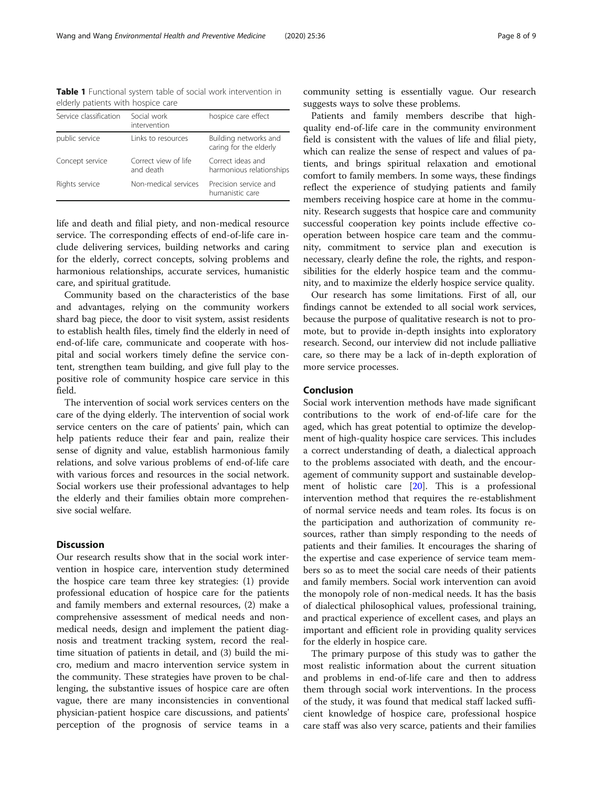<span id="page-7-0"></span>Table 1 Functional system table of social work intervention in elderly patients with hospice care

| Service classification | Social work<br>intervention       | hospice care effect                             |
|------------------------|-----------------------------------|-------------------------------------------------|
| public service         | Links to resources                | Building networks and<br>caring for the elderly |
| Concept service        | Correct view of life<br>and death | Correct ideas and<br>harmonious relationships   |
| Rights service         | Non-medical services              | Precision service and<br>humanistic care        |
|                        |                                   |                                                 |

life and death and filial piety, and non-medical resource service. The corresponding effects of end-of-life care include delivering services, building networks and caring for the elderly, correct concepts, solving problems and harmonious relationships, accurate services, humanistic care, and spiritual gratitude.

Community based on the characteristics of the base and advantages, relying on the community workers shard bag piece, the door to visit system, assist residents to establish health files, timely find the elderly in need of end-of-life care, communicate and cooperate with hospital and social workers timely define the service content, strengthen team building, and give full play to the positive role of community hospice care service in this field.

The intervention of social work services centers on the care of the dying elderly. The intervention of social work service centers on the care of patients' pain, which can help patients reduce their fear and pain, realize their sense of dignity and value, establish harmonious family relations, and solve various problems of end-of-life care with various forces and resources in the social network. Social workers use their professional advantages to help the elderly and their families obtain more comprehensive social welfare.

# Discussion

Our research results show that in the social work intervention in hospice care, intervention study determined the hospice care team three key strategies: (1) provide professional education of hospice care for the patients and family members and external resources, (2) make a comprehensive assessment of medical needs and nonmedical needs, design and implement the patient diagnosis and treatment tracking system, record the realtime situation of patients in detail, and (3) build the micro, medium and macro intervention service system in the community. These strategies have proven to be challenging, the substantive issues of hospice care are often vague, there are many inconsistencies in conventional physician-patient hospice care discussions, and patients' perception of the prognosis of service teams in a community setting is essentially vague. Our research suggests ways to solve these problems.

Patients and family members describe that highquality end-of-life care in the community environment field is consistent with the values of life and filial piety, which can realize the sense of respect and values of patients, and brings spiritual relaxation and emotional comfort to family members. In some ways, these findings reflect the experience of studying patients and family members receiving hospice care at home in the community. Research suggests that hospice care and community successful cooperation key points include effective cooperation between hospice care team and the community, commitment to service plan and execution is necessary, clearly define the role, the rights, and responsibilities for the elderly hospice team and the community, and to maximize the elderly hospice service quality.

Our research has some limitations. First of all, our findings cannot be extended to all social work services, because the purpose of qualitative research is not to promote, but to provide in-depth insights into exploratory research. Second, our interview did not include palliative care, so there may be a lack of in-depth exploration of more service processes.

# Conclusion

Social work intervention methods have made significant contributions to the work of end-of-life care for the aged, which has great potential to optimize the development of high-quality hospice care services. This includes a correct understanding of death, a dialectical approach to the problems associated with death, and the encouragement of community support and sustainable development of holistic care [\[20](#page-8-0)]. This is a professional intervention method that requires the re-establishment of normal service needs and team roles. Its focus is on the participation and authorization of community resources, rather than simply responding to the needs of patients and their families. It encourages the sharing of the expertise and case experience of service team members so as to meet the social care needs of their patients and family members. Social work intervention can avoid the monopoly role of non-medical needs. It has the basis of dialectical philosophical values, professional training, and practical experience of excellent cases, and plays an important and efficient role in providing quality services for the elderly in hospice care.

The primary purpose of this study was to gather the most realistic information about the current situation and problems in end-of-life care and then to address them through social work interventions. In the process of the study, it was found that medical staff lacked sufficient knowledge of hospice care, professional hospice care staff was also very scarce, patients and their families